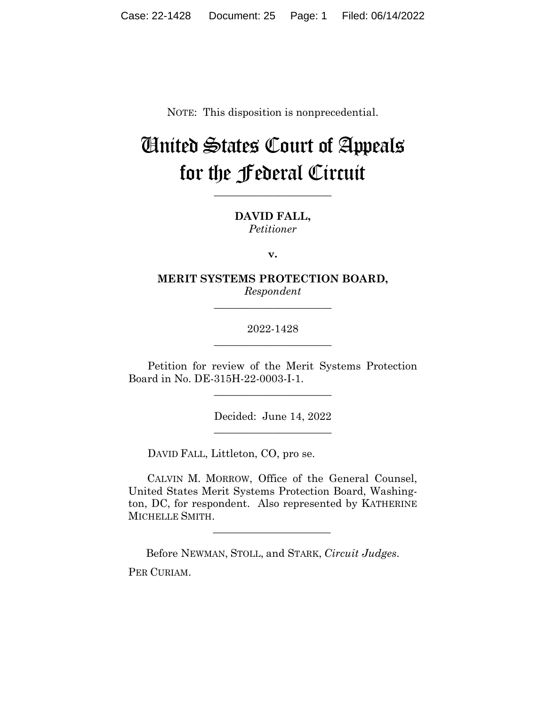NOTE: This disposition is nonprecedential.

## United States Court of Appeals for the Federal Circuit

**\_\_\_\_\_\_\_\_\_\_\_\_\_\_\_\_\_\_\_\_\_\_** 

**DAVID FALL,** *Petitioner*

**v.**

**MERIT SYSTEMS PROTECTION BOARD,** *Respondent*

**\_\_\_\_\_\_\_\_\_\_\_\_\_\_\_\_\_\_\_\_\_\_** 

2022-1428 **\_\_\_\_\_\_\_\_\_\_\_\_\_\_\_\_\_\_\_\_\_\_** 

Petition for review of the Merit Systems Protection Board in No. DE-315H-22-0003-I-1.

\_\_\_\_\_\_\_\_\_\_\_\_\_\_\_\_\_\_\_\_\_\_

Decided: June 14, 2022 \_\_\_\_\_\_\_\_\_\_\_\_\_\_\_\_\_\_\_\_\_\_

DAVID FALL, Littleton, CO, pro se.

 $\mathcal{L}_\text{max}$  and  $\mathcal{L}_\text{max}$  and  $\mathcal{L}_\text{max}$  and  $\mathcal{L}_\text{max}$ 

 CALVIN M. MORROW, Office of the General Counsel, United States Merit Systems Protection Board, Washington, DC, for respondent. Also represented by KATHERINE MICHELLE SMITH.

Before NEWMAN, STOLL, and STARK, *Circuit Judges*. PER CURIAM.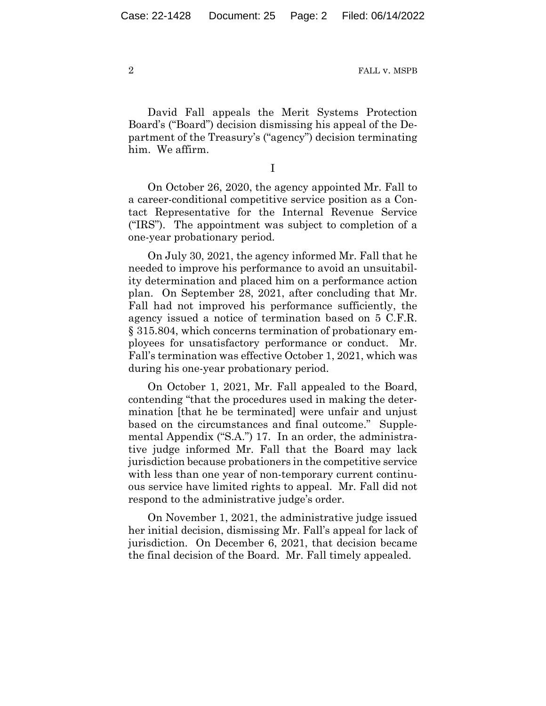David Fall appeals the Merit Systems Protection Board's ("Board") decision dismissing his appeal of the Department of the Treasury's ("agency") decision terminating him. We affirm.

I

On October 26, 2020, the agency appointed Mr. Fall to a career-conditional competitive service position as a Contact Representative for the Internal Revenue Service ("IRS"). The appointment was subject to completion of a one-year probationary period.

On July 30, 2021, the agency informed Mr. Fall that he needed to improve his performance to avoid an unsuitability determination and placed him on a performance action plan. On September 28, 2021, after concluding that Mr. Fall had not improved his performance sufficiently, the agency issued a notice of termination based on 5 C.F.R. § 315.804, which concerns termination of probationary employees for unsatisfactory performance or conduct. Mr. Fall's termination was effective October 1, 2021, which was during his one-year probationary period.

On October 1, 2021, Mr. Fall appealed to the Board, contending "that the procedures used in making the determination [that he be terminated] were unfair and unjust based on the circumstances and final outcome." Supplemental Appendix ("S.A.") 17. In an order, the administrative judge informed Mr. Fall that the Board may lack jurisdiction because probationers in the competitive service with less than one year of non-temporary current continuous service have limited rights to appeal. Mr. Fall did not respond to the administrative judge's order.

On November 1, 2021, the administrative judge issued her initial decision, dismissing Mr. Fall's appeal for lack of jurisdiction. On December 6, 2021, that decision became the final decision of the Board. Mr. Fall timely appealed.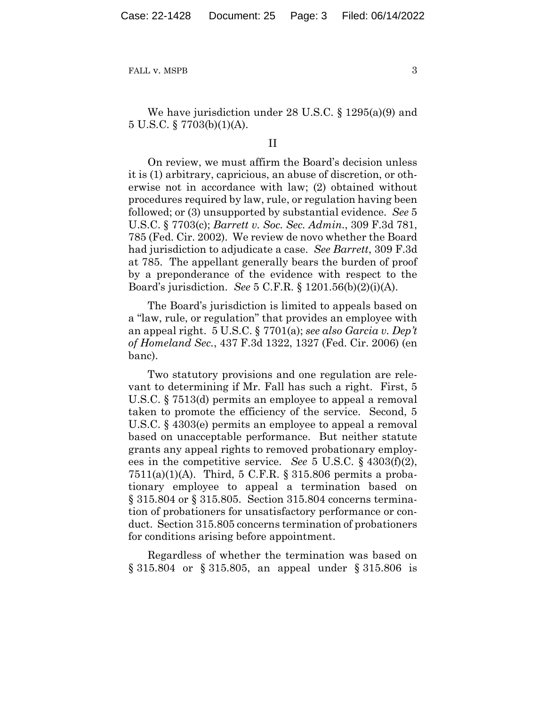We have jurisdiction under 28 U.S.C. § 1295(a)(9) and 5 U.S.C. § 7703(b)(1)(A).

## II

On review, we must affirm the Board's decision unless it is (1) arbitrary, capricious, an abuse of discretion, or otherwise not in accordance with law; (2) obtained without procedures required by law, rule, or regulation having been followed; or (3) unsupported by substantial evidence. *See* 5 U.S.C. § 7703(c); *Barrett v. Soc. Sec. Admin.*, 309 F.3d 781, 785 (Fed. Cir. 2002). We review de novo whether the Board had jurisdiction to adjudicate a case. *See Barrett*, 309 F.3d at 785. The appellant generally bears the burden of proof by a preponderance of the evidence with respect to the Board's jurisdiction. *See* 5 C.F.R. § 1201.56(b)(2)(i)(A).

The Board's jurisdiction is limited to appeals based on a "law, rule, or regulation" that provides an employee with an appeal right. 5 U.S.C. § 7701(a); *see also Garcia v. Dep't of Homeland Sec.*, 437 F.3d 1322, 1327 (Fed. Cir. 2006) (en banc).

Two statutory provisions and one regulation are relevant to determining if Mr. Fall has such a right. First, 5 U.S.C. § 7513(d) permits an employee to appeal a removal taken to promote the efficiency of the service. Second, 5 U.S.C. § 4303(e) permits an employee to appeal a removal based on unacceptable performance. But neither statute grants any appeal rights to removed probationary employees in the competitive service. *See* 5 U.S.C. § 4303(f)(2), 7511(a)(1)(A). Third, 5 C.F.R.  $\S 315.806$  permits a probationary employee to appeal a termination based on § 315.804 or § 315.805. Section 315.804 concerns termination of probationers for unsatisfactory performance or conduct. Section 315.805 concerns termination of probationers for conditions arising before appointment.

Regardless of whether the termination was based on § 315.804 or § 315.805, an appeal under § 315.806 is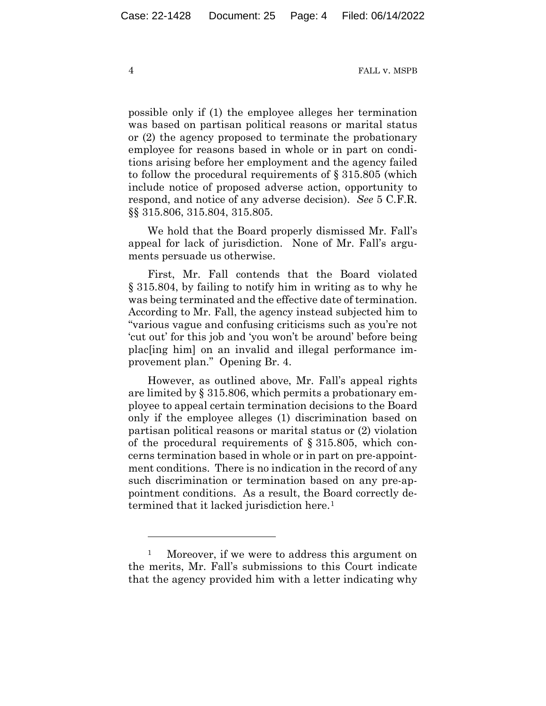possible only if (1) the employee alleges her termination was based on partisan political reasons or marital status or (2) the agency proposed to terminate the probationary employee for reasons based in whole or in part on conditions arising before her employment and the agency failed to follow the procedural requirements of § 315.805 (which include notice of proposed adverse action, opportunity to respond, and notice of any adverse decision). *See* 5 C.F.R. §§ 315.806, 315.804, 315.805.

We hold that the Board properly dismissed Mr. Fall's appeal for lack of jurisdiction. None of Mr. Fall's arguments persuade us otherwise.

First, Mr. Fall contends that the Board violated § 315.804, by failing to notify him in writing as to why he was being terminated and the effective date of termination. According to Mr. Fall, the agency instead subjected him to "various vague and confusing criticisms such as you're not 'cut out' for this job and 'you won't be around' before being plac[ing him] on an invalid and illegal performance improvement plan." Opening Br. 4.

However, as outlined above, Mr. Fall's appeal rights are limited by § 315.806, which permits a probationary employee to appeal certain termination decisions to the Board only if the employee alleges (1) discrimination based on partisan political reasons or marital status or (2) violation of the procedural requirements of § 315.805, which concerns termination based in whole or in part on pre-appointment conditions. There is no indication in the record of any such discrimination or termination based on any pre-appointment conditions. As a result, the Board correctly determined that it lacked jurisdiction here.<sup>1</sup>

<sup>&</sup>lt;sup>1</sup> Moreover, if we were to address this argument on the merits, Mr. Fall's submissions to this Court indicate that the agency provided him with a letter indicating why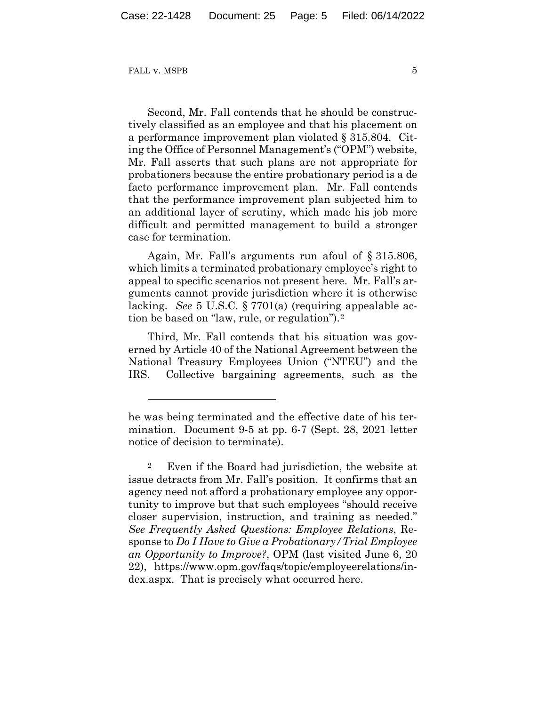Second, Mr. Fall contends that he should be constructively classified as an employee and that his placement on a performance improvement plan violated § 315.804. Citing the Office of Personnel Management's ("OPM") website, Mr. Fall asserts that such plans are not appropriate for probationers because the entire probationary period is a de facto performance improvement plan. Mr. Fall contends that the performance improvement plan subjected him to an additional layer of scrutiny, which made his job more difficult and permitted management to build a stronger case for termination.

Again, Mr. Fall's arguments run afoul of § 315.806, which limits a terminated probationary employee's right to appeal to specific scenarios not present here. Mr. Fall's arguments cannot provide jurisdiction where it is otherwise lacking. *See* 5 U.S.C. § 7701(a) (requiring appealable action be based on "law, rule, or regulation").2

Third, Mr. Fall contends that his situation was governed by Article 40 of the National Agreement between the National Treasury Employees Union ("NTEU") and the IRS. Collective bargaining agreements, such as the

he was being terminated and the effective date of his termination. Document 9-5 at pp. 6-7 (Sept. 28, 2021 letter notice of decision to terminate).

<sup>2</sup> Even if the Board had jurisdiction, the website at issue detracts from Mr. Fall's position. It confirms that an agency need not afford a probationary employee any opportunity to improve but that such employees "should receive closer supervision, instruction, and training as needed." *See Frequently Asked Questions: Employee Relations*, Response to *Do I Have to Give a Probationary/Trial Employee an Opportunity to Improve?*, OPM (last visited June 6, 20 22), https://www.opm.gov/faqs/topic/employeerelations/index.aspx. That is precisely what occurred here.